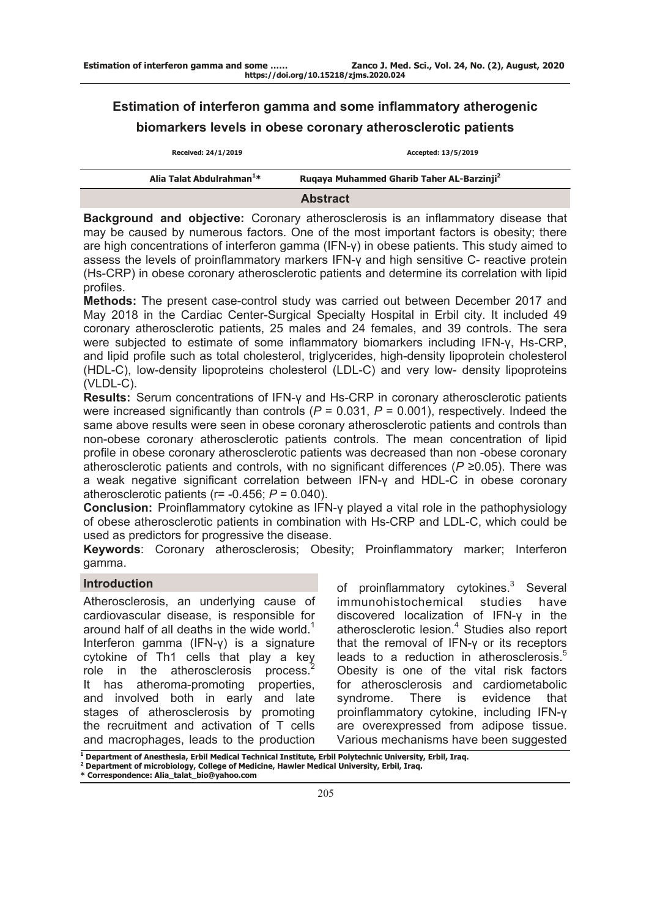# **Estimation of interferon gamma and some inflammatory atherogenic biomarkers levels in obese coronary atherosclerotic patients**

| Received: 24/1/2019                   | Accepted: 13/5/2019                                   |
|---------------------------------------|-------------------------------------------------------|
| Alia Talat Abdulrahman <sup>1</sup> * | Rugaya Muhammed Gharib Taher AL-Barzinji <sup>2</sup> |
|                                       | <b>Abstract</b>                                       |

**Background and objective:** Coronary atherosclerosis is an inflammatory disease that may be caused by numerous factors. One of the most important factors is obesity; there are high concentrations of interferon gamma (IFN-γ) in obese patients. This study aimed to assess the levels of proinflammatory markers IFN-γ and high sensitive C- reactive protein (Hs-CRP) in obese coronary atherosclerotic patients and determine its correlation with lipid profiles.

**Methods:** The present case-control study was carried out between December 2017 and May 2018 in the Cardiac Center-Surgical Specialty Hospital in Erbil city. It included 49 coronary atherosclerotic patients, 25 males and 24 females, and 39 controls. The sera were subjected to estimate of some inflammatory biomarkers including IFN-γ, Hs-CRP, and lipid profile such as total cholesterol, triglycerides, high-density lipoprotein cholesterol (HDL-C), low-density lipoproteins cholesterol (LDL-C) and very low- density lipoproteins (VLDL-C).

**Results:** Serum concentrations of IFN-y and Hs-CRP in coronary atherosclerotic patients were increased significantly than controls ( $P = 0.031$ ,  $P = 0.001$ ), respectively. Indeed the same above results were seen in obese coronary atherosclerotic patients and controls than non-obese coronary atherosclerotic patients controls. The mean concentration of lipid profile in obese coronary atherosclerotic patients was decreased than non -obese coronary atherosclerotic patients and controls, with no significant differences (*P* ≥0.05). There was a weak negative significant correlation between IFN-γ and HDL-C in obese coronary atherosclerotic patients (r= -0.456; *P* = 0.040).

**Conclusion:** Proinflammatory cytokine as IFN-γ played a vital role in the pathophysiology of obese atherosclerotic patients in combination with Hs-CRP and LDL-C, which could be used as predictors for progressive the disease.

**Keywords**: Coronary atherosclerosis; Obesity; Proinflammatory marker; Interferon gamma.

# **Introduction**

Atherosclerosis, an underlying cause of cardiovascular disease, is responsible for around half of all deaths in the wide world.<sup>1</sup> Interferon gamma (IFN-γ) is a signature cytokine of Th1 cells that play a key role in the atherosclerosis process.<sup>2</sup> It has atheroma-promoting properties, and involved both in early and late stages of atherosclerosis by promoting the recruitment and activation of T cells and macrophages, leads to the production

of proinflammatory cytokines.<sup>3</sup> Several immunohistochemical studies have discovered localization of IFN-γ in the atherosclerotic lesion.<sup>4</sup> Studies also report that the removal of IFN-γ or its receptors leads to a reduction in atherosclerosis.<sup>5</sup> Obesity is one of the vital risk factors for atherosclerosis and cardiometabolic syndrome. There is evidence that proinflammatory cytokine, including IFN-γ are overexpressed from adipose tissue. Various mechanisms have been suggested

**<sup>1</sup> Department of Anesthesia, Erbil Medical Technical Institute, Erbil Polytechnic University, Erbil, Iraq.**

**<sup>2</sup> Department of microbiology, College of Medicine, Hawler Medical University, Erbil, Iraq.**

**<sup>\*</sup> Correspondence: Alia\_talat\_bio@yahoo.com**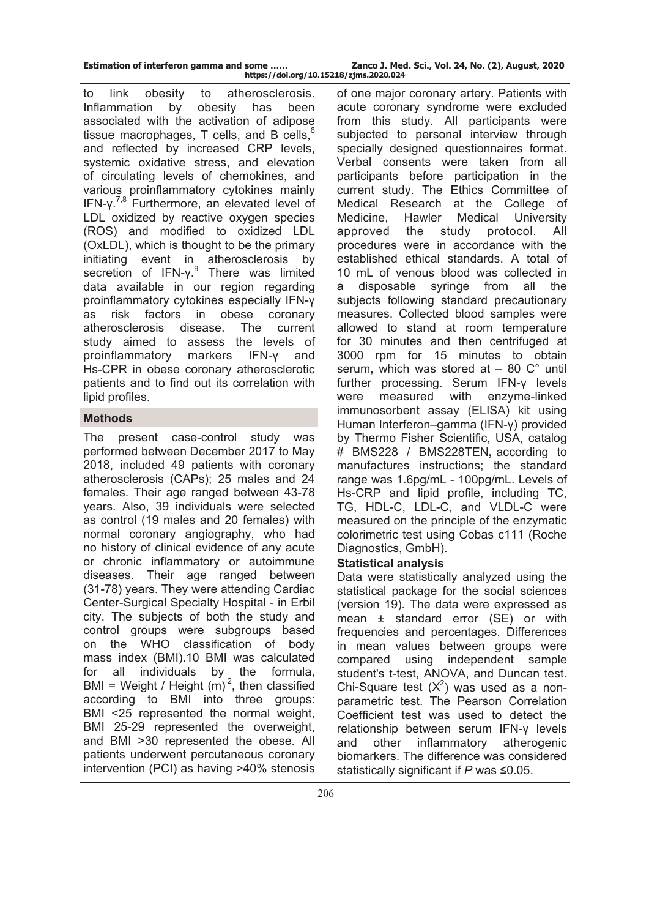| Estimation of interferon gamma and some |  |                   |  |
|-----------------------------------------|--|-------------------|--|
|                                         |  | <b>LELL LATER</b> |  |

to link obesity to atherosclerosis. Inflammation by obesity has been associated with the activation of adipose tissue macrophages,  $T$  cells, and B cells,  $6$ and reflected by increased CRP levels, systemic oxidative stress, and elevation of circulating levels of chemokines, and various proinflammatory cytokines mainly IFN-γ.<sup>7,8</sup> Furthermore, an elevated level of LDL oxidized by reactive oxygen species (ROS) and modified to oxidized LDL (OxLDL), which is thought to be the primary initiating event in atherosclerosis by secretion of IFN-γ.<sup>9</sup> There was limited data available in our region regarding proinflammatory cytokines especially IFN-γ as risk factors in obese coronary atherosclerosis disease. The current study aimed to assess the levels of proinflammatory markers IFN-γ and

Hs-CPR in obese coronary atherosclerotic patients and to find out its correlation with lipid profiles.

# **Methods**

The present case-control study was performed between December 2017 to May 2018, included 49 patients with coronary atherosclerosis (CAPs); 25 males and 24 females. Their age ranged between 43-78 years. Also, 39 individuals were selected as control (19 males and 20 females) with normal coronary angiography, who had no history of clinical evidence of any acute or chronic inflammatory or autoimmune diseases. Their age ranged between (31-78) years. They were attending Cardiac Center-Surgical Specialty Hospital - in Erbil city. The subjects of both the study and control groups were subgroups based on the WHO classification of body mass index (BMI).10 BMI was calculated for all individuals by the formula, BMI = Weight / Height  $(m)^2$ , then classified according to BMI into three groups: BMI <25 represented the normal weight, BMI 25-29 represented the overweight, and BMI >30 represented the obese. All patients underwent percutaneous coronary intervention (PCI) as having >40% stenosis

of one major coronary artery. Patients with acute coronary syndrome were excluded from this study. All participants were subjected to personal interview through specially designed questionnaires format. Verbal consents were taken from all participants before participation in the current study. The Ethics Committee of Medical Research at the College of Medicine, Hawler Medical University approved the study protocol. All procedures were in accordance with the established ethical standards. A total of 10 mL of venous blood was collected in a disposable syringe from all the subjects following standard precautionary measures. Collected blood samples were allowed to stand at room temperature for 30 minutes and then centrifuged at 3000 rpm for 15 minutes to obtain serum, which was stored at  $-80^\circ$  until further processing. Serum IFN-γ levels were measured with enzyme-linked immunosorbent assay (ELISA) kit using Human Interferon–gamma (IFN-γ) provided by Thermo Fisher Scientific, USA, catalog # BMS228 / BMS228TEN**,** according to manufactures instructions; the standard range was 1.6pg/mL - 100pg/mL. Levels of Hs-CRP and lipid profile, including TC, TG, HDL-C, LDL-C, and VLDL-C were measured on the principle of the enzymatic colorimetric test using Cobas c111 (Roche Diagnostics, GmbH).

## **Statistical analysis**

Data were statistically analyzed using the statistical package for the social sciences (version 19). The data were expressed as mean ± standard error (SE) or with frequencies and percentages. Differences in mean values between groups were compared using independent sample student's t-test, ANOVA, and Duncan test. Chi-Square test  $(X^2)$  was used as a nonparametric test. The Pearson Correlation Coefficient test was used to detect the relationship between serum IFN-γ levels and other inflammatory atherogenic biomarkers. The difference was considered statistically significant if *P* was ≤0.05.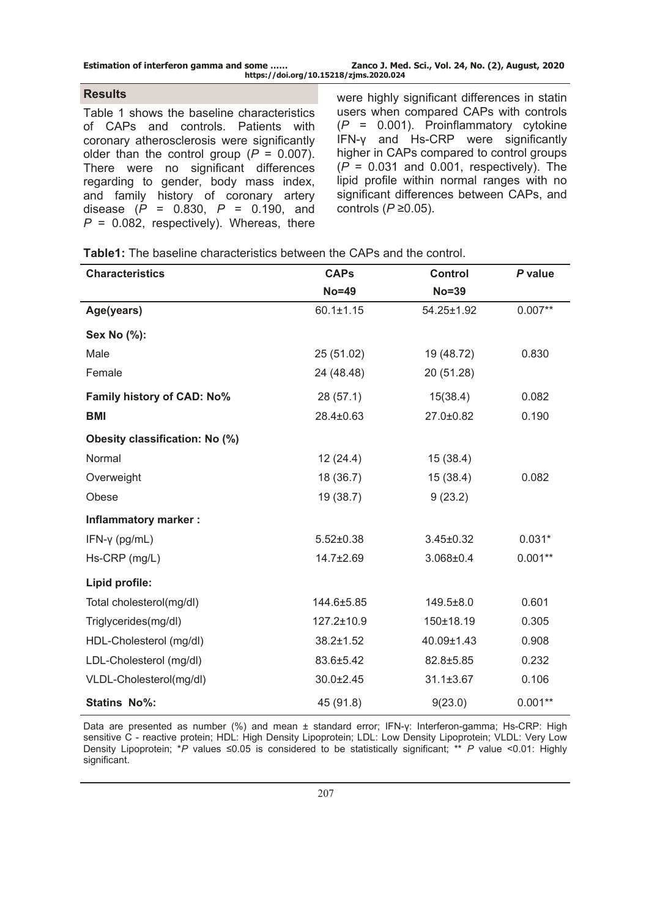| <b>Estimation of interferon gamma and some </b> | Zanco J. Med. Sci., Vol. 24, No. (2), August, 2020 |
|-------------------------------------------------|----------------------------------------------------|
| https://doi.org/10.15218/zjms.2020.024          |                                                    |

## **Results**

Table 1 shows the baseline characteristics of CAPs and controls. Patients with coronary atherosclerosis were significantly older than the control group  $(P = 0.007)$ . There were no significant differences regarding to gender, body mass index, and family history of coronary artery disease (*P* = 0.830, *P* = 0.190, and *P* = 0.082, respectively). Whereas, there

were highly significant differences in statin users when compared CAPs with controls (*P* = 0.001). Proinflammatory cytokine IFN-γ and Hs-CRP were significantly higher in CAPs compared to control groups (*P* = 0.031 and 0.001, respectively). The lipid profile within normal ranges with no significant differences between CAPs, and controls (*P* ≥0.05).

| <b>Characteristics</b>         | <b>CAPs</b>     | <b>Control</b>  | P value   |
|--------------------------------|-----------------|-----------------|-----------|
|                                | $No = 49$       | <b>No=39</b>    |           |
| Age(years)                     | $60.1 \pm 1.15$ | 54.25±1.92      | $0.007**$ |
| Sex No (%):                    |                 |                 |           |
| Male                           | 25 (51.02)      | 19 (48.72)      | 0.830     |
| Female                         | 24 (48.48)      | 20 (51.28)      |           |
| Family history of CAD: No%     | 28(57.1)        | 15(38.4)        | 0.082     |
| <b>BMI</b>                     | 28.4±0.63       | 27.0±0.82       | 0.190     |
| Obesity classification: No (%) |                 |                 |           |
| Normal                         | 12(24.4)        | 15(38.4)        |           |
| Overweight                     | 18 (36.7)       | 15(38.4)        | 0.082     |
| Obese                          | 19 (38.7)       | 9(23.2)         |           |
| <b>Inflammatory marker:</b>    |                 |                 |           |
| $IFN-\gamma$ (pg/mL)           | $5.52 \pm 0.38$ | $3.45 \pm 0.32$ | $0.031*$  |
| Hs-CRP (mg/L)                  | 14.7±2.69       | $3.068 \pm 0.4$ | $0.001**$ |
| Lipid profile:                 |                 |                 |           |
| Total cholesterol(mg/dl)       | 144.6±5.85      | 149.5±8.0       | 0.601     |
| Triglycerides(mg/dl)           | 127.2±10.9      | 150±18.19       | 0.305     |
| HDL-Cholesterol (mg/dl)        | $38.2 \pm 1.52$ | 40.09±1.43      | 0.908     |
| LDL-Cholesterol (mg/dl)        | 83.6±5.42       | 82.8±5.85       | 0.232     |
| VLDL-Cholesterol(mg/dl)        | 30.0±2.45       | $31.1 \pm 3.67$ | 0.106     |
| <b>Statins No%:</b>            | 45 (91.8)       | 9(23.0)         | $0.001**$ |

Data are presented as number (%) and mean ± standard error; IFN-γ: Interferon-gamma; Hs-CRP: High sensitive C - reactive protein; HDL: High Density Lipoprotein; LDL: Low Density Lipoprotein; VLDL: Very Low Density Lipoprotein; \**P* values ≤0.05 is considered to be statistically significant; \*\* *P* value <0.01: Highly significant.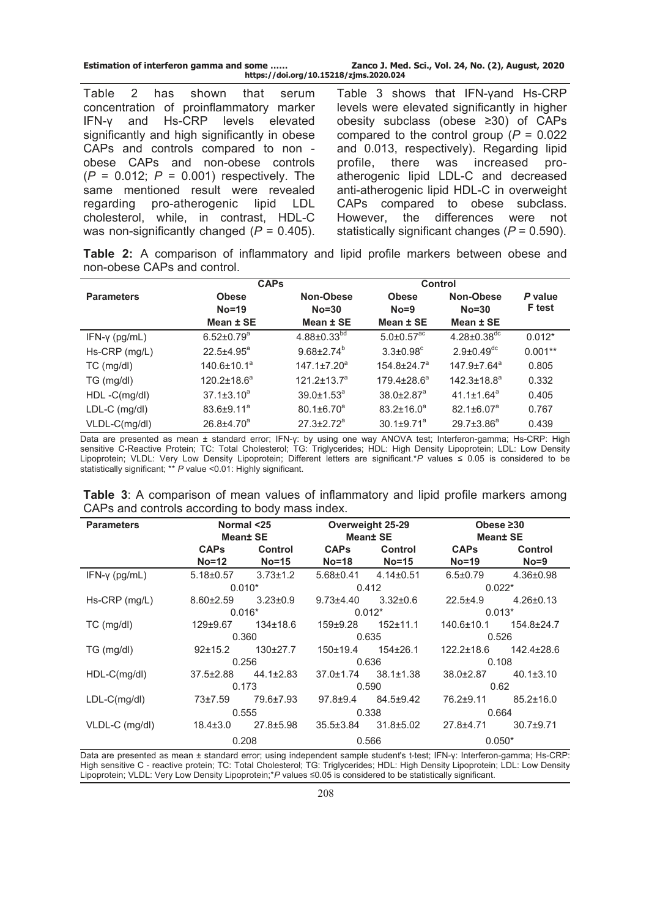| Estimation of interferon gamma and some | Zanco J. Med. Sci., Vol. 24, No. (2), August, 2020 |
|-----------------------------------------|----------------------------------------------------|
| https://doi.org/10.15218/zjms.2020.024  |                                                    |

Table 2 has shown that serum concentration of proinflammatory marker IFN-γ and Hs-CRP levels elevated significantly and high significantly in obese CAPs and controls compared to non obese CAPs and non-obese controls (*P* = 0.012; *P* = 0.001) respectively. The same mentioned result were revealed regarding pro-atherogenic lipid LDL cholesterol, while, in contrast, HDL-C was non-significantly changed (*P* = 0.405).

Table 3 shows that IFN-vand Hs-CRP levels were elevated significantly in higher obesity subclass (obese ≥30) of CAPs compared to the control group (*P* = 0.022 and 0.013, respectively). Regarding lipid profile, there was increased proatherogenic lipid LDL-C and decreased anti-atherogenic lipid HDL-C in overweight CAPs compared to obese subclass. However, the differences were not statistically significant changes (*P* = 0.590).

**Table 2:** A comparison of inflammatory and lipid profile markers between obese and non-obese CAPs and control.

|                      | <b>CAPs</b>                  |                               | Control                      |                               |               |
|----------------------|------------------------------|-------------------------------|------------------------------|-------------------------------|---------------|
| <b>Parameters</b>    | <b>Obese</b>                 | Non-Obese                     | <b>Obese</b>                 | Non-Obese                     | P value       |
|                      | $No=19$                      | $No = 30$                     | $No = 9$                     | $No = 30$                     | <b>F</b> test |
|                      | Mean ± SE                    | Mean ± SE                     | Mean ± SE                    | Mean ± SE                     |               |
| $IFN-\gamma$ (pg/mL) | $6.52 \pm 0.79$ <sup>a</sup> | $4.88 \pm 0.33^{bd}$          | $5.0 \pm 0.57$ <sup>ac</sup> | $4.28 \pm 0.38$ <sup>dc</sup> | $0.012*$      |
| Hs-CRP (mg/L)        | $22.5{\pm}4.95^a$            | $9.68 \pm 2.74^b$             | $3.3 \pm 0.98$ <sup>c</sup>  | $2.9 \pm 0.49$ <sup>dc</sup>  | $0.001**$     |
| TC (mg/dl)           | $140.6 \pm 10.1^a$           | $147.1 \pm 7.20$ <sup>a</sup> | $154.8 \pm 24.7^a$           | $147.9 \pm 7.64^a$            | 0.805         |
| TG (mg/dl)           | $120.2 \pm 18.6^a$           | $121.2 \pm 13.7^a$            | $179.4 \pm 28.6^a$           | $142.3 \pm 18.8^a$            | 0.332         |
| HDL-C(mg/dl)         | $37.1 \pm 3.10^a$            | $39.0 \pm 1.53^{\circ}$       | $38.0 \pm 2.87$ <sup>a</sup> | $41.1 \pm 1.64$ <sup>a</sup>  | 0.405         |
| $LDL-C$ (mg/dl)      | $83.6 \pm 9.11^a$            | $80.1 \pm 6.70^a$             | $83.2 \pm 16.0^a$            | $82.1 \pm 6.07^a$             | 0.767         |
| VLDL-C(mg/dl)        | $26.8{\pm}4.70^a$            | $27.3 \pm 2.72^a$             | $30.1 \pm 9.71^a$            | $29.7 \pm 3.86^a$             | 0.439         |

Data are presented as mean ± standard error; IFN-γ: by using one way ANOVA test; Interferon-gamma; Hs-CRP: High sensitive C-Reactive Protein; TC: Total Cholesterol; TG: Triglycerides; HDL: High Density Lipoprotein; LDL: Low Density Lipoprotein; VLDL: Very Low Density Lipoprotein; Different letters are significant.\**P* values ≤ 0.05 is considered to be statistically significant; \*\* *P* value <0.01: Highly significant.

| <b>Table 3:</b> A comparison of mean values of inflammatory and lipid profile markers among |  |  |  |  |
|---------------------------------------------------------------------------------------------|--|--|--|--|
| CAPs and controls according to body mass index.                                             |  |  |  |  |

| <b>Parameters</b>     | Normal <25      |                 |                                 | Overweight 25-29 | Obese $\geq 30$  |                  |  |
|-----------------------|-----------------|-----------------|---------------------------------|------------------|------------------|------------------|--|
|                       |                 | <b>Mean</b> SE  |                                 | <b>Mean± SE</b>  | <b>Mean± SE</b>  |                  |  |
|                       | <b>CAPs</b>     | Control         | <b>CAPs</b>                     | <b>Control</b>   | <b>CAPs</b>      | <b>Control</b>   |  |
|                       | $No=12$         | $No=15$         | $No = 18$                       | $No=15$          | $No=19$          | $No = 9$         |  |
| IFN- $\gamma$ (pg/mL) | $5.18 \pm 0.57$ | $3.73 \pm 1.2$  | $5.68 \pm 0.41$ $4.14 \pm 0.51$ |                  | $6.5 \pm 0.79$   | $4.36 \pm 0.98$  |  |
|                       |                 | $0.010*$        |                                 | 0.412            | $0.022*$         |                  |  |
| Hs-CRP (mg/L)         | $8.60 \pm 2.59$ | $3.23 \pm 0.9$  | $9.73{\pm}4.40$                 | $3.32 \pm 0.6$   | $22.5 + 4.9$     | $4.26 \pm 0.13$  |  |
|                       |                 | $0.016*$        | $0.012*$                        |                  | $0.013*$         |                  |  |
| $TC$ (mg/dl)          | $129 \pm 9.67$  | $134 \pm 18.6$  | $159 + 9.28$                    | $152 + 11.1$     | 140.6±10.1       | $154.8 \pm 24.7$ |  |
|                       |                 | 0.360           |                                 | 0.635            |                  | 0.526            |  |
| TG (mg/dl)            | 92±15.2         | $130+27.7$      | 150±19.4                        | $154\pm26.1$     | $122.2 \pm 18.6$ | $142.4 \pm 28.6$ |  |
|                       |                 | 0.256           | 0.636                           |                  | 0.108            |                  |  |
| HDL-C(mg/dl)          | $37.5 \pm 2.88$ | $44.1 \pm 2.83$ | $37.0 \pm 1.74$                 | $38.1 \pm 1.38$  | $38.0 \pm 2.87$  | $40.1 \pm 3.10$  |  |
|                       |                 | 0.173           |                                 | 0.590            |                  | 0.62             |  |
| $LDL-C(mg/dl)$        | $73 + 7.59$     | 79.6±7.93       | $97.8 + 9.4$                    | $84.5 \pm 9.42$  | 76.2±9.11        | $85.2 \pm 16.0$  |  |
|                       |                 | 0.555           |                                 | 0.338            |                  | 0.664            |  |
| VLDL-C (mg/dl)        | $18.4 \pm 3.0$  | $27.8 \pm 5.98$ | $35.5 \pm 3.84$                 | $31.8 \pm 5.02$  | $27.8 + 4.71$    | $30.7 + 9.71$    |  |
|                       |                 | 0.208           |                                 | 0.566            | $0.050*$         |                  |  |

Data are presented as mean ± standard error; using independent sample student's t-test; IFN-γ: Interferon-gamma; Hs-CRP: High sensitive C - reactive protein; TC: Total Cholesterol; TG: Triglycerides; HDL: High Density Lipoprotein; LDL: Low Density Lipoprotein; VLDL: Very Low Density Lipoprotein;\**P* values ≤0.05 is considered to be statistically significant.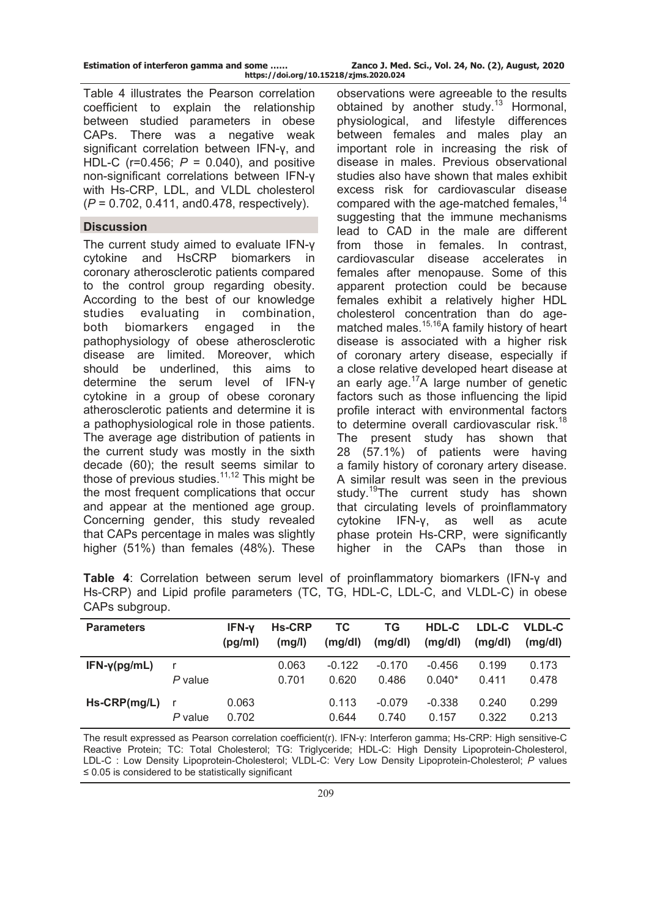| Estimation of interferon gamma and some |  |  |  |
|-----------------------------------------|--|--|--|
|                                         |  |  |  |

Table 4 illustrates the Pearson correlation coefficient to explain the relationship between studied parameters in obese CAPs. There was a negative weak significant correlation between IFN-γ, and HDL-C (r=0.456; *P* = 0.040), and positive non-significant correlations between IFN-γ with Hs-CRP, LDL, and VLDL cholesterol (*P* = 0.702, 0.411, and0.478, respectively).

# **Discussion**

The current study aimed to evaluate IFN-γ cytokine and HsCRP biomarkers in coronary atherosclerotic patients compared to the control group regarding obesity. According to the best of our knowledge studies evaluating in combination, both biomarkers engaged in the pathophysiology of obese atherosclerotic disease are limited. Moreover, which should be underlined, this aims to determine the serum level of IFN-γ cytokine in a group of obese coronary atherosclerotic patients and determine it is a pathophysiological role in those patients. The average age distribution of patients in the current study was mostly in the sixth decade (60); the result seems similar to those of previous studies.11,12 This might be the most frequent complications that occur and appear at the mentioned age group. Concerning gender, this study revealed that CAPs percentage in males was slightly higher (51%) than females (48%). These

observations were agreeable to the results obtained by another study.<sup>13</sup> Hormonal, physiological, and lifestyle differences between females and males play an important role in increasing the risk of disease in males. Previous observational studies also have shown that males exhibit excess risk for cardiovascular disease compared with the age-matched females,<sup>14</sup> suggesting that the immune mechanisms lead to CAD in the male are different from those in females. In contrast, cardiovascular disease accelerates in females after menopause. Some of this apparent protection could be because females exhibit a relatively higher HDL cholesterol concentration than do agematched males.<sup>15,16</sup>A family history of heart disease is associated with a higher risk of coronary artery disease, especially if a close relative developed heart disease at an early age. $17A$  large number of genetic factors such as those influencing the lipid profile interact with environmental factors to determine overall cardiovascular risk.<sup>18</sup> The present study has shown that 28 (57.1%) of patients were having a family history of coronary artery disease. A similar result was seen in the previous study.<sup>19</sup>The current study has shown that circulating levels of proinflammatory cytokine IFN-γ, as well as acute phase protein Hs-CRP, were significantly higher in the CAPs than those in

**Table 4**: Correlation between serum level of proinflammatory biomarkers (IFN-γ and Hs-CRP) and Lipid profile parameters (TC, TG, HDL-C, LDL-C, and VLDL-C) in obese CAPs subgroup.

| <b>Parameters</b>   |                         | <b>IFN-v</b><br>(pq/ml) | <b>Hs-CRP</b><br>(mq/l) | ТC<br>(mg/dl)     | ΤG<br>(mg/dl)     | HDL-C<br>(mq/dl)     | LDL-C<br>(mq/dl) | <b>VLDL-C</b><br>(mq/dl) |
|---------------------|-------------------------|-------------------------|-------------------------|-------------------|-------------------|----------------------|------------------|--------------------------|
| $IFN-\gamma(pg/mL)$ | P value                 |                         | 0.063<br>0.701          | $-0.122$<br>0.620 | $-0.170$<br>0.486 | $-0.456$<br>$0.040*$ | 0.199<br>0.411   | 0.173<br>0.478           |
| $Hs-CRP(mg/L)$      | $\mathsf{r}$<br>P value | 0.063<br>0.702          |                         | 0.113<br>0.644    | $-0.079$<br>0.740 | $-0.338$<br>0.157    | 0.240<br>0.322   | 0.299<br>0.213           |

The result expressed as Pearson correlation coefficient(r). IFN-γ: Interferon gamma; Hs-CRP: High sensitive-C Reactive Protein; TC: Total Cholesterol; TG: Triglyceride; HDL-C: High Density Lipoprotein-Cholesterol, LDL-C : Low Density Lipoprotein-Cholesterol; VLDL-C: Very Low Density Lipoprotein-Cholesterol; *P* values ≤ 0.05 is considered to be statistically significant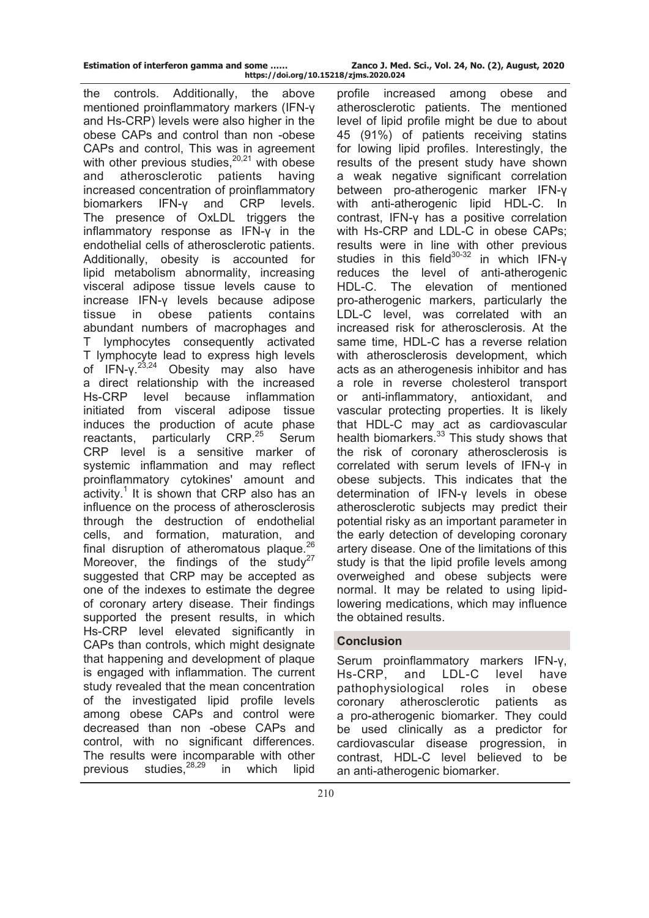| Estimation of interferon gamma and some |  |  |  |  |
|-----------------------------------------|--|--|--|--|
|                                         |  |  |  |  |

**Estimation of interferon gamma and some …… Zanco J. Med. Sci., Vol. 24, No. (2), August, 2020 https://doi.org/10.15218/zjms.2020.024**

the controls. Additionally, the above mentioned proinflammatory markers (IFN-γ and Hs-CRP) levels were also higher in the obese CAPs and control than non -obese CAPs and control, This was in agreement with other previous studies. $20,21$  with obese and atherosclerotic patients having increased concentration of proinflammatory biomarkers IFN-γ and CRP levels. The presence of OxLDL triggers the inflammatory response as IFN-γ in the endothelial cells of atherosclerotic patients. Additionally, obesity is accounted for lipid metabolism abnormality, increasing visceral adipose tissue levels cause to increase IFN-γ levels because adipose tissue in obese patients contains abundant numbers of macrophages and T lymphocytes consequently activated T lymphocyte lead to express high levels of IFN- $\gamma^{23,24}$  Obesity may also have a direct relationship with the increased Hs-CRP level because inflammation initiated from visceral adipose tissue induces the production of acute phase reactants, particularly CRP.<sup>25</sup> Serum CRP level is a sensitive marker of systemic inflammation and may reflect proinflammatory cytokines' amount and activity.<sup>1</sup> It is shown that CRP also has an influence on the process of atherosclerosis through the destruction of endothelial cells, and formation, maturation, and final disruption of atheromatous plaque. $^{26}$ Moreover, the findings of the study<sup>27</sup> suggested that CRP may be accepted as one of the indexes to estimate the degree of coronary artery disease. Their findings supported the present results, in which Hs-CRP level elevated significantly in CAPs than controls, which might designate that happening and development of plaque is engaged with inflammation. The current study revealed that the mean concentration of the investigated lipid profile levels among obese CAPs and control were decreased than non -obese CAPs and control, with no significant differences. The results were incomparable with other previous studies, $28,29$  in which lipid

profile increased among obese and atherosclerotic patients. The mentioned level of lipid profile might be due to about 45 (91%) of patients receiving statins for lowing lipid profiles. Interestingly, the results of the present study have shown a weak negative significant correlation between pro-atherogenic marker IFN-γ with anti-atherogenic lipid HDL-C. In contrast, IFN-γ has a positive correlation with Hs-CRP and LDL-C in obese CAPs; results were in line with other previous studies in this field<sup>30-32</sup> in which IFN-γ reduces the level of anti-atherogenic HDL-C. The elevation of mentioned pro-atherogenic markers, particularly the LDL-C level, was correlated with an increased risk for atherosclerosis. At the same time, HDL-C has a reverse relation with atherosclerosis development, which acts as an atherogenesis inhibitor and has a role in reverse cholesterol transport or anti-inflammatory, antioxidant, and vascular protecting properties. It is likely that HDL-C may act as cardiovascular health biomarkers.<sup>33</sup> This study shows that the risk of coronary atherosclerosis is correlated with serum levels of IFN-γ in obese subjects. This indicates that the determination of IFN-γ levels in obese atherosclerotic subjects may predict their potential risky as an important parameter in the early detection of developing coronary artery disease. One of the limitations of this study is that the lipid profile levels among overweighed and obese subjects were normal. It may be related to using lipidlowering medications, which may influence the obtained results.

# **Conclusion**

Serum proinflammatory markers IFN-γ, Hs-CRP, and LDL-C level have pathophysiological roles in obese coronary atherosclerotic patients as a pro-atherogenic biomarker. They could be used clinically as a predictor for cardiovascular disease progression, in contrast, HDL-C level believed to be an anti-atherogenic biomarker.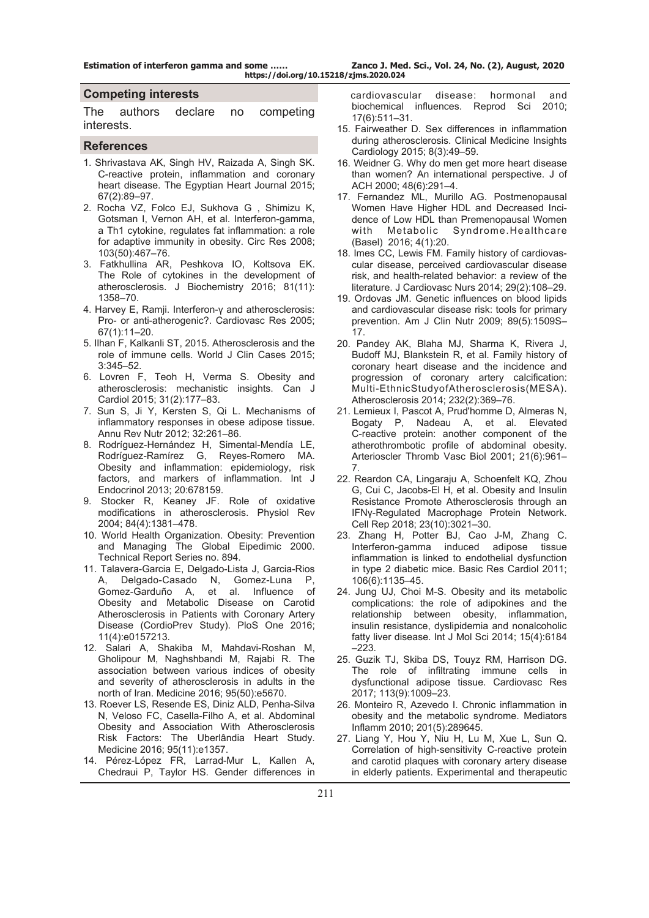#### **Competing interests**

The authors declare no competing interests.

#### **References**

- 1. Shrivastava AK, Singh HV, Raizada A, Singh SK. C-reactive protein, inflammation and coronary heart disease. The Egyptian Heart Journal 2015; 67(2):89–97.
- 2. Rocha VZ, Folco EJ, Sukhova G , Shimizu K, Gotsman I, Vernon AH, et al. Interferon-gamma, a Th1 cytokine, regulates fat inflammation: a role for adaptive immunity in obesity. Circ Res 2008; 103(50):467–76.
- 3. Fatkhullina AR, Peshkova IO, Koltsova EK. The Role of cytokines in the development of atherosclerosis. J [Biochemistry 2016; 81\(11\):](https://www.ncbi.nlm.nih.gov/entrez/eutils/elink.fcgi?dbfrom=pubmed&retmode=ref&cmd=prlinks&id=27914461) [1358–70.](https://www.ncbi.nlm.nih.gov/entrez/eutils/elink.fcgi?dbfrom=pubmed&retmode=ref&cmd=prlinks&id=27914461)
- 4. Harvey E, Ramji. Interferon-γ and atherosclerosis: Pro- or anti-atherogenic?. Cardiovasc Res 2005; 67(1):11–20.
- 5. Ilhan F, Kalkanli ST, 2015. Atherosclerosis and the role of immune cells. World J Clin Cases 2015; 3:345–52.
- 6. Lovren F, Teoh H, Verma S. Obesity and atherosclerosis: mechanistic insights. [Can J](https://www.ncbi.nlm.nih.gov/pubmed/25661552)  [Cardiol](https://www.ncbi.nlm.nih.gov/pubmed/25661552) 2015; 31(2):177–83.
- 7. Sun S, Ji Y, Kersten S, Qi L. Mechanisms of inflammatory responses in obese adipose tissue. [Annu Rev Nutr 2](https://www.ncbi.nlm.nih.gov/pubmed/22404118)012; 32:261–86.
- 8. Rodríguez-Hernández H, Simental-Mendía LE, Rodríguez-Ramírez G, Reyes-Romero MA. Obesity and inflammation: epidemiology, risk factors, and markers of inflammation. I[nt J](https://www.ncbi.nlm.nih.gov/pubmed/23690772)  [Endocrinol](https://www.ncbi.nlm.nih.gov/pubmed/23690772) 2013; 20:678159.
- 9. Stocker R, Keaney JF. Role of oxidative modifications in atherosclerosis. [Physiol Rev](https://www.ncbi.nlm.nih.gov/pubmed/15383655) 2004; 84(4):1381–478.
- 10. World Health Organization. Obesity: Prevention and Managing The Global Eipedimic 2000. Technical Report Series no. 894.
- 11. Talavera-Garcia E, Delgado-Lista J, Garcia-Rios A, Delgado-Casado N, Gomez-Luna P, Gomez-Garduño A, et al. Influence of Obesity and Metabolic Disease on Carotid Atherosclerosis in Patients with Coronary Artery Disease (CordioPrev Study). PloS One 2016; 11(4):e0157213.
- 12. Salari A, Shakiba M, Mahdavi-Roshan M, Gholipour M, Naghshbandi M, Rajabi R. The association between various indices of obesity and severity of atherosclerosis in adults in the north of Iran. Medicine 2016; 95(50):e5670.
- 13. Roever LS, Resende ES, Diniz ALD, Penha-Silva N, Veloso FC, Casella-Filho A, et al. Abdominal Obesity and Association With Atherosclerosis Risk Factors: The Uberlândia Heart Study. Medicine 2016; 95(11):e1357.
- 14. Pérez-López FR, Larrad-Mur L, Kallen A, Chedraui P, Taylor HS. Gender differences in

 cardiovascular disease: hormonal and biochemical influences. [Reprod Sc](https://www.ncbi.nlm.nih.gov/pubmed/20460551)i 2010; 17(6):511–31.

- 15. Fairweather D. Sex differences in inflammation during atherosclerosis. Clinical Medicine Insights Cardiology 2015; 8(3):49–59.
- 16. Weidner G. Why do men get more heart disease than women? An international perspective. J of ACH 2000; 48(6):291–4.
- 17. Fernandez ML, Murillo AG. Postmenopausal Women Have Higher HDL and Decreased Incidence of Low HDL than Premenopausal Women with Metabolic Syndrome.[Healthcare](https://www.ncbi.nlm.nih.gov/pubmed/27417608)  [\(Basel\)](https://www.ncbi.nlm.nih.gov/pubmed/27417608) 2016; 4(1):20.
- 18. Imes CC, Lewis FM. Family history of cardiovascular disease, perceived cardiovascular disease risk, and health-related behavior: a review of the literature. [J Cardiovasc Nurs](https://www.ncbi.nlm.nih.gov/pubmed/23321782) 2014; 29(2):108–29.
- 19. Ordovas JM. Genetic influences on blood lipids and cardiovascular disease risk: tools for primary prevention. [Am J Clin Nutr](https://www.ncbi.nlm.nih.gov/pubmed/19339403) 2009; 89(5):1509S– 17.
- 20. Pandey AK, Blaha MJ, Sharma K, Rivera J, Budoff MJ, Blankstein R, et al. Family history of coronary heart disease and the incidence and progression of coronary artery calcification: Multi-EthnicStudyofAtherosclerosis(MESA). [Atherosclerosis](https://www.ncbi.nlm.nih.gov/pubmed/24468150) 2014; 232(2):369–76.
- 21. Lemieux I, Pascot A, Prud'homme D, Almeras N, Bogaty P, Nadeau A, et al. Elevated C-reactive protein: another component of the atherothrombotic profile of abdominal obesity. Arterioscler Thromb Vasc Biol 2001; 21(6):961– 7.
- 22. Reardon CA, Lingaraju A, Schoenfelt KQ, Zhou G, Cui C, Jacobs-El H, et al. Obesity and Insulin Resistance Promote Atherosclerosis through an IFNγ-Regulated Macrophage Protein Network. [Cell Rep](https://www.ncbi.nlm.nih.gov/pubmed/29874587) 2018; 23(10):3021–30.
- 23. Zhang H, Potter BJ, Cao J-M, Zhang C. Interferon-gamma induced adipose tissue inflammation is linked to endothelial dysfunction in type 2 diabetic mice. [Basic Res Cardiol](https://www.ncbi.nlm.nih.gov/pubmed/21826531) 2011; 106(6):1135–45.
- 24. Jung UJ, Choi M-S. Obesity and its metabolic complications: the role of adipokines and the relationship between obesity, inflammation, insulin resistance, dyslipidemia and nonalcoholic fatty liver disease. [Int J Mol Sci](https://www.ncbi.nlm.nih.gov/pubmed/24733068) 2014; 15(4):6184  $-223.$
- 25. Guzik TJ, Skiba DS, Touyz RM, Harrison DG. The role of infiltrating immune cells in dysfunctional adipose tissue. [Cardiovasc Res](https://www.ncbi.nlm.nih.gov/pubmed/28838042) 2017; 113(9):1009–23.
- 26. Monteiro R, Azevedo I. Chronic inflammation in obesity and the metabolic syndrome. [Mediators](https://www.ncbi.nlm.nih.gov/pubmed/20706689) [Inflamm](https://www.ncbi.nlm.nih.gov/pubmed/20706689) 2010; 201(5):289645.
- 27. Liang Y, Hou Y, Niu H, Lu M, Xue L, Sun Q. Correlation of high-sensitivity C-reactive protein and carotid plaques with coronary artery disease in elderly patients. Experimental and therapeutic